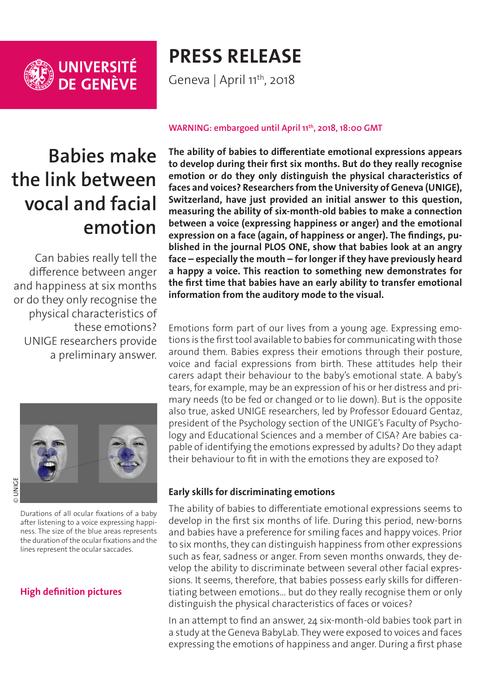

# **PRESS RELEASE**

Geneva | April 11<sup>th</sup>, 2018

# **Babies make the link between vocal and facial emotion**

Can babies really tell the difference between anger and happiness at six months or do they only recognise the physical characteristics of these emotions? UNIGE researchers provide a preliminary answer.



Durations of all ocular fixations of a baby after listening to a voice expressing happiness. The size of the blue areas represents the duration of the ocular fixations and the lines represent the ocular saccades.

## **[High definition pictures](http://phototheque.unige.ch/documents/facets?newFacet=mot.cle.marc%3DCdP_180411_Palama&clearFacets=1)**

#### **WARNING: embargoed until April 11th, 2018, 18:00 GMT**

**The ability of babies to differentiate emotional expressions appears to develop during their first six months. But do they really recognise emotion or do they only distinguish the physical characteristics of faces and voices? Researchers from the University of Geneva (UNIGE), Switzerland, have just provided an initial answer to this question, measuring the ability of six-month-old babies to make a connection between a voice (expressing happiness or anger) and the emotional expression on a face (again, of happiness or anger). The findings, published in the journal PLOS ONE, show that babies look at an angry face – especially the mouth – for longer if they have previously heard a happy a voice. This reaction to something new demonstrates for the first time that babies have an early ability to transfer emotional information from the auditory mode to the visual.** 

Emotions form part of our lives from a young age. Expressing emotions is the first tool available to babies for communicating with those around them. Babies express their emotions through their posture, voice and facial expressions from birth. These attitudes help their carers adapt their behaviour to the baby's emotional state. A baby's tears, for example, may be an expression of his or her distress and primary needs (to be fed or changed or to lie down). But is the opposite also true, asked UNIGE researchers, led by Professor Edouard Gentaz, president of the Psychology section of the UNIGE's Faculty of Psychology and Educational Sciences and a member of CISA? Are babies capable of identifying the emotions expressed by adults? Do they adapt their behaviour to fit in with the emotions they are exposed to?

### **Early skills for discriminating emotions**

The ability of babies to differentiate emotional expressions seems to develop in the first six months of life. During this period, new-borns and babies have a preference for smiling faces and happy voices. Prior to six months, they can distinguish happiness from other expressions such as fear, sadness or anger. From seven months onwards, they develop the ability to discriminate between several other facial expressions. It seems, therefore, that babies possess early skills for differentiating between emotions… but do they really recognise them or only distinguish the physical characteristics of faces or voices?

In an attempt to find an answer, 24 six-month-old babies took part in a study at the Geneva BabyLab. They were exposed to voices and faces expressing the emotions of happiness and anger. During a first phase